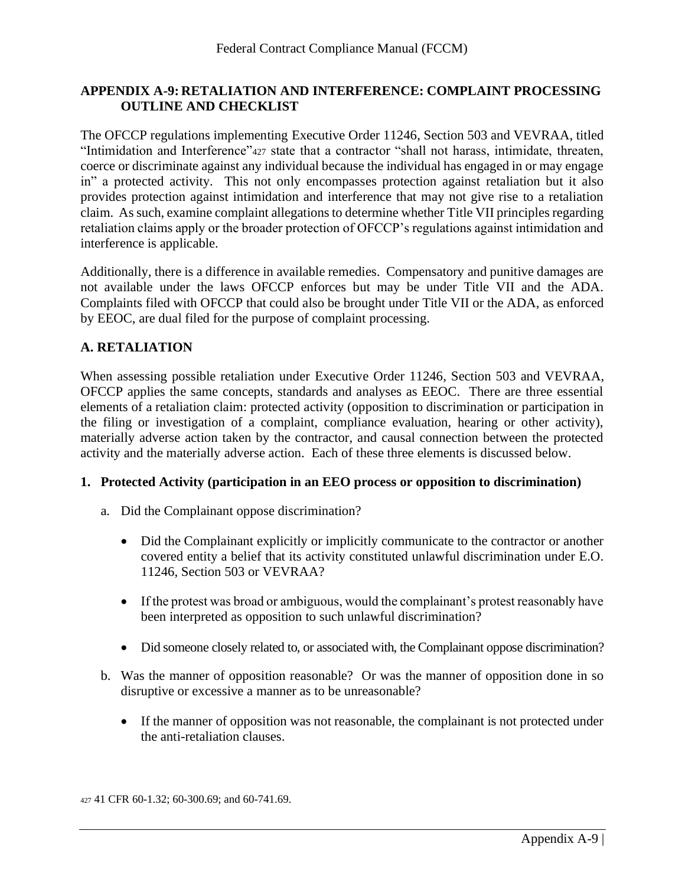# **APPENDIX A-9: RETALIATION AND INTERFERENCE: COMPLAINT PROCESSING OUTLINE AND CHECKLIST**

The OFCCP regulations implementing Executive Order 11246, Section 503 and VEVRAA, titled "Intimidation and Interference"<sup>427</sup> state that a contractor "shall not harass, intimidate, threaten, coerce or discriminate against any individual because the individual has engaged in or may engage in" a protected activity. This not only encompasses protection against retaliation but it also provides protection against intimidation and interference that may not give rise to a retaliation claim. As such, examine complaint allegations to determine whether Title VII principles regarding retaliation claims apply or the broader protection of OFCCP's regulations against intimidation and interference is applicable.

Additionally, there is a difference in available remedies. Compensatory and punitive damages are not available under the laws OFCCP enforces but may be under Title VII and the ADA. Complaints filed with OFCCP that could also be brought under Title VII or the ADA, as enforced by EEOC, are dual filed for the purpose of complaint processing.

# **A. RETALIATION**

When assessing possible retaliation under Executive Order 11246, Section 503 and VEVRAA, OFCCP applies the same concepts, standards and analyses as EEOC. There are three essential elements of a retaliation claim: protected activity (opposition to discrimination or participation in the filing or investigation of a complaint, compliance evaluation, hearing or other activity), materially adverse action taken by the contractor, and causal connection between the protected activity and the materially adverse action. Each of these three elements is discussed below.

# **1. Protected Activity (participation in an EEO process or opposition to discrimination)**

- a. Did the Complainant oppose discrimination?
	- Did the Complainant explicitly or implicitly communicate to the contractor or another covered entity a belief that its activity constituted unlawful discrimination under E.O. 11246, Section 503 or VEVRAA?
	- If the protest was broad or ambiguous, would the complainant's protest reasonably have been interpreted as opposition to such unlawful discrimination?
	- Did someone closely related to, or associated with, the Complainant oppose discrimination?
- b. Was the manner of opposition reasonable? Or was the manner of opposition done in so disruptive or excessive a manner as to be unreasonable?
	- If the manner of opposition was not reasonable, the complainant is not protected under the anti-retaliation clauses.

<sup>427</sup> 41 CFR 60-1.32; 60-300.69; and 60-741.69.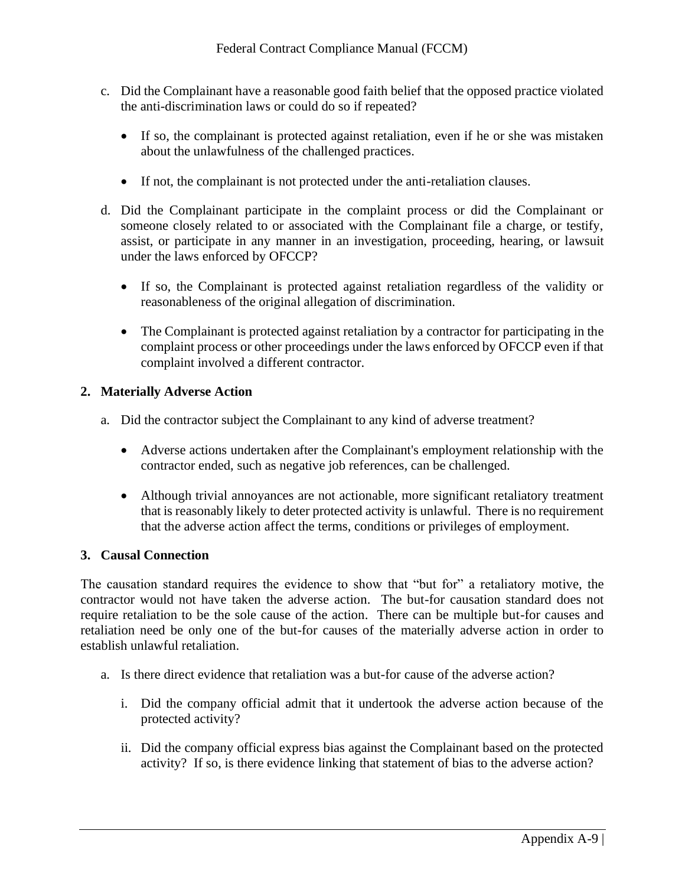- c. Did the Complainant have a reasonable good faith belief that the opposed practice violated the anti-discrimination laws or could do so if repeated?
	- If so, the complainant is protected against retaliation, even if he or she was mistaken about the unlawfulness of the challenged practices.
	- If not, the complainant is not protected under the anti-retaliation clauses.
- d. Did the Complainant participate in the complaint process or did the Complainant or someone closely related to or associated with the Complainant file a charge, or testify, assist, or participate in any manner in an investigation, proceeding, hearing, or lawsuit under the laws enforced by OFCCP?
	- If so, the Complainant is protected against retaliation regardless of the validity or reasonableness of the original allegation of discrimination.
	- The Complainant is protected against retaliation by a contractor for participating in the complaint process or other proceedings under the laws enforced by OFCCP even if that complaint involved a different contractor.

## **2. Materially Adverse Action**

- a. Did the contractor subject the Complainant to any kind of adverse treatment?
	- Adverse actions undertaken after the Complainant's employment relationship with the contractor ended, such as negative job references, can be challenged.
	- Although trivial annoyances are not actionable, more significant retaliatory treatment that is reasonably likely to deter protected activity is unlawful. There is no requirement that the adverse action affect the terms, conditions or privileges of employment.

## **3. Causal Connection**

The causation standard requires the evidence to show that "but for" a retaliatory motive, the contractor would not have taken the adverse action. The but-for causation standard does not require retaliation to be the sole cause of the action. There can be multiple but-for causes and retaliation need be only one of the but-for causes of the materially adverse action in order to establish unlawful retaliation.

- a. Is there direct evidence that retaliation was a but-for cause of the adverse action?
	- i. Did the company official admit that it undertook the adverse action because of the protected activity?
	- ii. Did the company official express bias against the Complainant based on the protected activity? If so, is there evidence linking that statement of bias to the adverse action?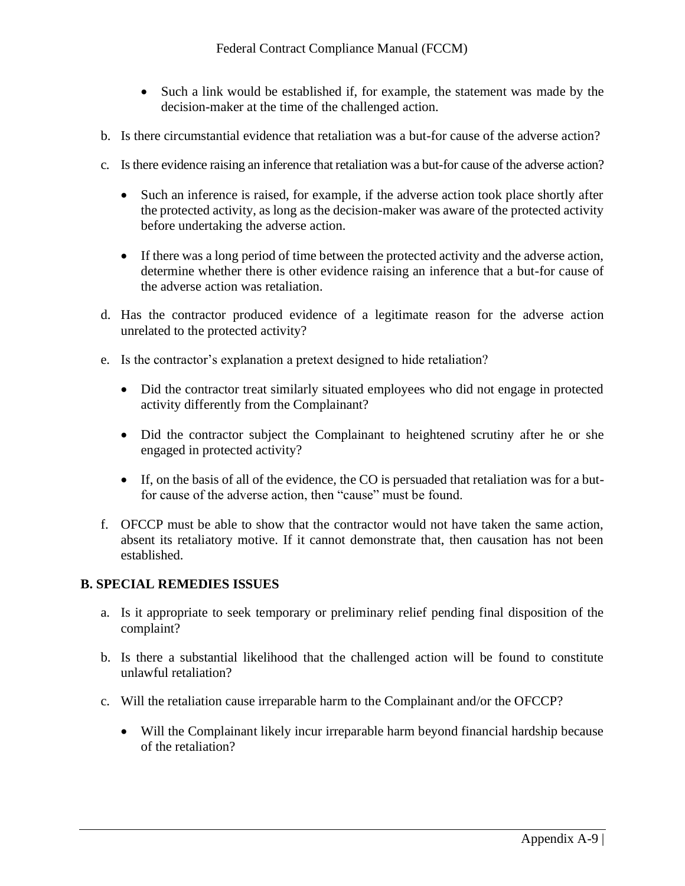- Such a link would be established if, for example, the statement was made by the decision-maker at the time of the challenged action.
- b. Is there circumstantial evidence that retaliation was a but-for cause of the adverse action?
- c. Is there evidence raising an inference that retaliation was a but-for cause of the adverse action?
	- Such an inference is raised, for example, if the adverse action took place shortly after the protected activity, as long as the decision-maker was aware of the protected activity before undertaking the adverse action.
	- If there was a long period of time between the protected activity and the adverse action, determine whether there is other evidence raising an inference that a but-for cause of the adverse action was retaliation.
- d. Has the contractor produced evidence of a legitimate reason for the adverse action unrelated to the protected activity?
- e. Is the contractor's explanation a pretext designed to hide retaliation?
	- Did the contractor treat similarly situated employees who did not engage in protected activity differently from the Complainant?
	- Did the contractor subject the Complainant to heightened scrutiny after he or she engaged in protected activity?
	- If, on the basis of all of the evidence, the CO is persuaded that retaliation was for a butfor cause of the adverse action, then "cause" must be found.
- f. OFCCP must be able to show that the contractor would not have taken the same action, absent its retaliatory motive. If it cannot demonstrate that, then causation has not been established.

## **B. SPECIAL REMEDIES ISSUES**

- a. Is it appropriate to seek temporary or preliminary relief pending final disposition of the complaint?
- b. Is there a substantial likelihood that the challenged action will be found to constitute unlawful retaliation?
- c. Will the retaliation cause irreparable harm to the Complainant and/or the OFCCP?
	- Will the Complainant likely incur irreparable harm beyond financial hardship because of the retaliation?